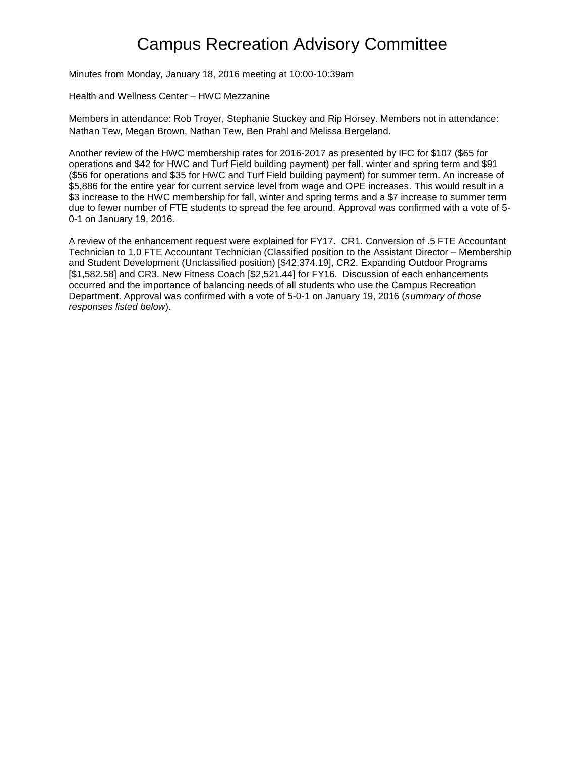## Campus Recreation Advisory Committee

Minutes from Monday, January 18, 2016 meeting at 10:00-10:39am

Health and Wellness Center – HWC Mezzanine

Members in attendance: Rob Troyer, Stephanie Stuckey and Rip Horsey. Members not in attendance: Nathan Tew, Megan Brown, Nathan Tew, Ben Prahl and Melissa Bergeland.

Another review of the HWC membership rates for 2016-2017 as presented by IFC for \$107 (\$65 for operations and \$42 for HWC and Turf Field building payment) per fall, winter and spring term and \$91 (\$56 for operations and \$35 for HWC and Turf Field building payment) for summer term. An increase of \$5,886 for the entire year for current service level from wage and OPE increases. This would result in a \$3 increase to the HWC membership for fall, winter and spring terms and a \$7 increase to summer term due to fewer number of FTE students to spread the fee around. Approval was confirmed with a vote of 5- 0-1 on January 19, 2016.

A review of the enhancement request were explained for FY17. CR1. Conversion of .5 FTE Accountant Technician to 1.0 FTE Accountant Technician (Classified position to the Assistant Director – Membership and Student Development (Unclassified position) [\$42,374.19], CR2. Expanding Outdoor Programs [\$1,582.58] and CR3. New Fitness Coach [\$2,521.44] for FY16. Discussion of each enhancements occurred and the importance of balancing needs of all students who use the Campus Recreation Department. Approval was confirmed with a vote of 5-0-1 on January 19, 2016 (*summary of those responses listed below*).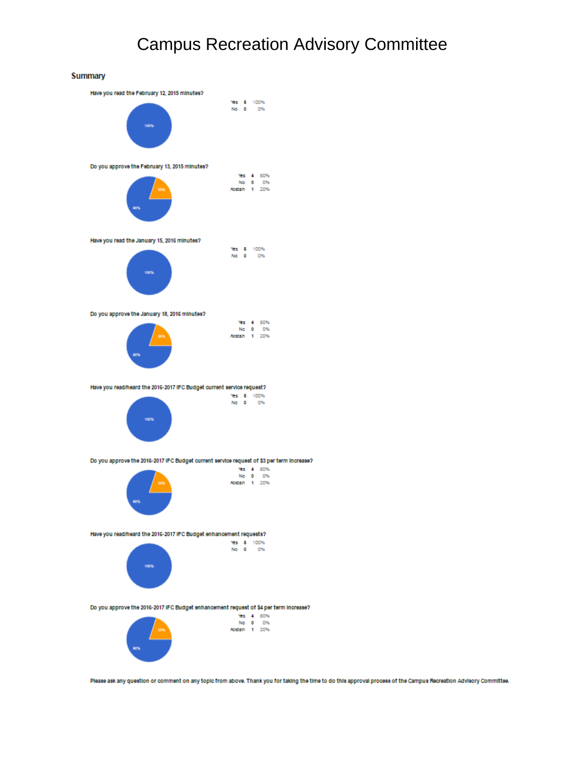## Campus Recreation Advisory Committee





No. 0 0%<br>Abstain 1 20%

Please ask any question or comment on any topic from above. Thank you for taking the time to do this approval process of the Campus Recreation Advisory Committee.